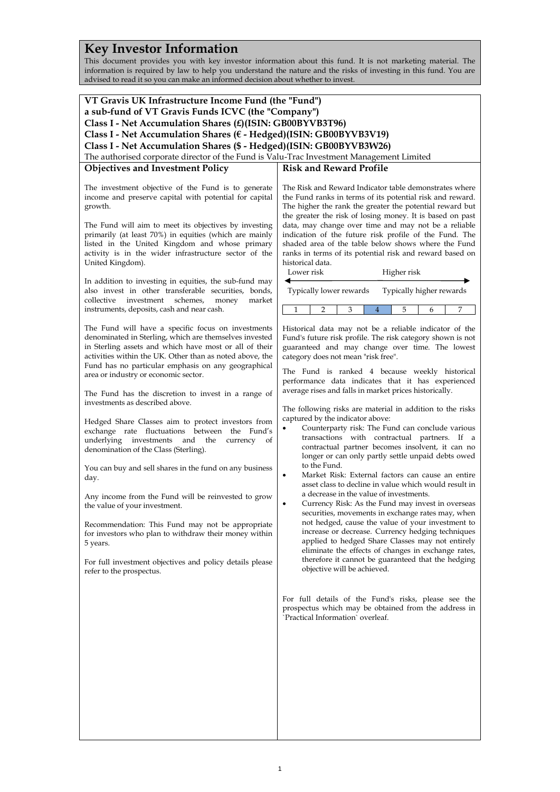# **Key Investor Information**

This document provides you with key investor information about this fund. It is not marketing material. The information is required by law to help you understand the nature and the risks of investing in this fund. You are advised to read it so you can make an informed decision about whether to invest.

| VT Gravis UK Infrastructure Income Fund (the "Fund")                                                          |                                                                                                                     |  |
|---------------------------------------------------------------------------------------------------------------|---------------------------------------------------------------------------------------------------------------------|--|
| a sub-fund of VT Gravis Funds ICVC (the "Company")                                                            |                                                                                                                     |  |
| Class I - Net Accumulation Shares (£)(ISIN: GB00BYVB3T96)                                                     |                                                                                                                     |  |
| Class I - Net Accumulation Shares (€ - Hedged)(ISIN: GB00BYVB3V19)                                            |                                                                                                                     |  |
| Class I - Net Accumulation Shares (\$ - Hedged)(ISIN: GB00BYVB3W26)                                           |                                                                                                                     |  |
| The authorised corporate director of the Fund is Valu-Trac Investment Management Limited                      |                                                                                                                     |  |
| <b>Objectives and Investment Policy</b>                                                                       | <b>Risk and Reward Profile</b>                                                                                      |  |
|                                                                                                               |                                                                                                                     |  |
| The investment objective of the Fund is to generate<br>income and preserve capital with potential for capital | The Risk and Reward Indicator table demonstrates where<br>the Fund ranks in terms of its potential risk and reward. |  |
| growth.                                                                                                       | The higher the rank the greater the potential reward but                                                            |  |
|                                                                                                               | the greater the risk of losing money. It is based on past                                                           |  |
| The Fund will aim to meet its objectives by investing                                                         | data, may change over time and may not be a reliable                                                                |  |
| primarily (at least 70%) in equities (which are mainly                                                        | indication of the future risk profile of the Fund. The                                                              |  |
| listed in the United Kingdom and whose primary                                                                | shaded area of the table below shows where the Fund                                                                 |  |
| activity is in the wider infrastructure sector of the                                                         | ranks in terms of its potential risk and reward based on                                                            |  |
| United Kingdom).                                                                                              | historical data.                                                                                                    |  |
|                                                                                                               | Lower risk<br>Higher risk                                                                                           |  |
| In addition to investing in equities, the sub-fund may                                                        |                                                                                                                     |  |
| also invest in other transferable securities, bonds,                                                          | Typically lower rewards<br>Typically higher rewards                                                                 |  |
| collective<br>investment<br>schemes,<br>market<br>money                                                       |                                                                                                                     |  |
| instruments, deposits, cash and near cash.                                                                    | 1<br>5<br>7<br>2<br>3<br>4<br>6                                                                                     |  |
|                                                                                                               |                                                                                                                     |  |
| The Fund will have a specific focus on investments                                                            | Historical data may not be a reliable indicator of the                                                              |  |
| denominated in Sterling, which are themselves invested                                                        | Fund's future risk profile. The risk category shown is not                                                          |  |
| in Sterling assets and which have most or all of their                                                        | guaranteed and may change over time. The lowest                                                                     |  |
| activities within the UK. Other than as noted above, the                                                      | category does not mean "risk free".                                                                                 |  |
| Fund has no particular emphasis on any geographical<br>area or industry or economic sector.                   | The Fund is ranked 4 because weekly historical                                                                      |  |
|                                                                                                               | performance data indicates that it has experienced                                                                  |  |
| The Fund has the discretion to invest in a range of                                                           | average rises and falls in market prices historically.                                                              |  |
| investments as described above.                                                                               |                                                                                                                     |  |
|                                                                                                               | The following risks are material in addition to the risks                                                           |  |
| Hedged Share Classes aim to protect investors from                                                            | captured by the indicator above:                                                                                    |  |
| exchange rate fluctuations between the Fund's                                                                 | Counterparty risk: The Fund can conclude various                                                                    |  |
| underlying investments and the<br>currency<br>of                                                              | transactions with contractual partners. If a                                                                        |  |
| denomination of the Class (Sterling).                                                                         | contractual partner becomes insolvent, it can no<br>longer or can only partly settle unpaid debts owed              |  |
|                                                                                                               | to the Fund.                                                                                                        |  |
| You can buy and sell shares in the fund on any business                                                       | Market Risk: External factors can cause an entire<br>٠                                                              |  |
| day.                                                                                                          | asset class to decline in value which would result in                                                               |  |
| Any income from the Fund will be reinvested to grow                                                           | a decrease in the value of investments.                                                                             |  |
| the value of your investment.                                                                                 | Currency Risk: As the Fund may invest in overseas<br>٠                                                              |  |
|                                                                                                               | securities, movements in exchange rates may, when                                                                   |  |
| Recommendation: This Fund may not be appropriate                                                              | not hedged, cause the value of your investment to                                                                   |  |
| for investors who plan to withdraw their money within                                                         | increase or decrease. Currency hedging techniques                                                                   |  |
| 5 years.                                                                                                      | applied to hedged Share Classes may not entirely                                                                    |  |
|                                                                                                               | eliminate the effects of changes in exchange rates,                                                                 |  |
| For full investment objectives and policy details please                                                      | therefore it cannot be guaranteed that the hedging                                                                  |  |
| refer to the prospectus.                                                                                      | objective will be achieved.                                                                                         |  |
|                                                                                                               |                                                                                                                     |  |
|                                                                                                               |                                                                                                                     |  |
|                                                                                                               | For full details of the Fund's risks, please see the<br>prospectus which may be obtained from the address in        |  |
|                                                                                                               | `Practical Information` overleaf.                                                                                   |  |
|                                                                                                               |                                                                                                                     |  |
|                                                                                                               |                                                                                                                     |  |
|                                                                                                               |                                                                                                                     |  |
|                                                                                                               |                                                                                                                     |  |
|                                                                                                               |                                                                                                                     |  |
|                                                                                                               |                                                                                                                     |  |
|                                                                                                               |                                                                                                                     |  |
|                                                                                                               |                                                                                                                     |  |
|                                                                                                               |                                                                                                                     |  |
|                                                                                                               |                                                                                                                     |  |
|                                                                                                               |                                                                                                                     |  |
|                                                                                                               |                                                                                                                     |  |